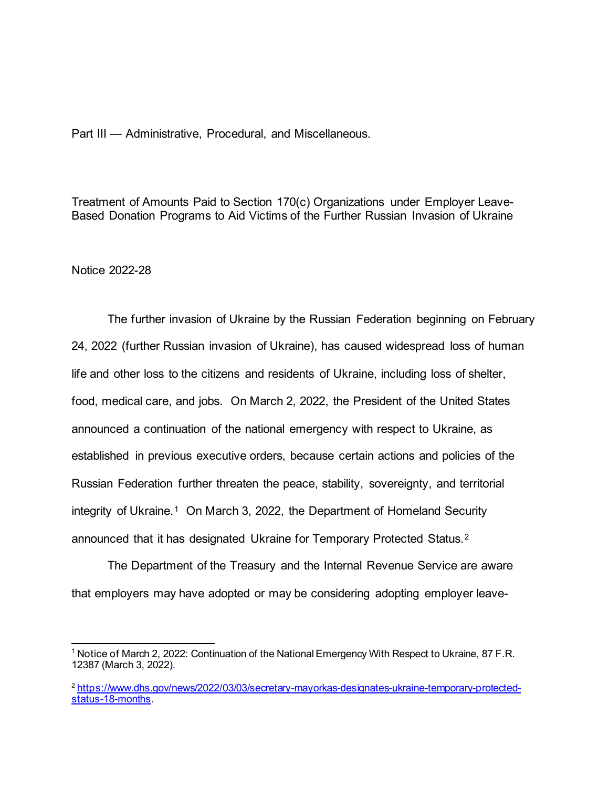Part III — Administrative, Procedural, and Miscellaneous.

Treatment of Amounts Paid to Section 170(c) Organizations under Employer Leave-Based Donation Programs to Aid Victims of the Further Russian Invasion of Ukraine

Notice 2022-28

The further invasion of Ukraine by the Russian Federation beginning on February 24, 2022 (further Russian invasion of Ukraine), has caused widespread loss of human life and other loss to the citizens and residents of Ukraine, including loss of shelter, food, medical care, and jobs. On March 2, 2022, the President of the United States announced a continuation of the national emergency with respect to Ukraine, as established in previous executive orders, because certain actions and policies of the Russian Federation further threaten the peace, stability, sovereignty, and territorial integrity of Ukraine.<sup>[1](#page-0-0)</sup> On March 3, 2022, the Department of Homeland Security announced that it has designated Ukraine for Temporary Protected Status.[2](#page-0-1)

The Department of the Treasury and the Internal Revenue Service are aware that employers may have adopted or may be considering adopting employer leave-

<span id="page-0-0"></span><sup>1</sup> Notice of March 2, 2022: Continuation of the National Emergency With Respect to Ukraine, 87 F.R. 12387 (March 3, 2022).

<span id="page-0-1"></span><sup>2</sup> [https://www.dhs.gov/news/2022/03/03/secretary-mayorkas-designates-ukraine-temporary-protected](https://www.dhs.gov/news/2022/03/03/secretary-mayorkas-designates-ukraine-temporary-protected-status-18-months)[status-18-months](https://www.dhs.gov/news/2022/03/03/secretary-mayorkas-designates-ukraine-temporary-protected-status-18-months)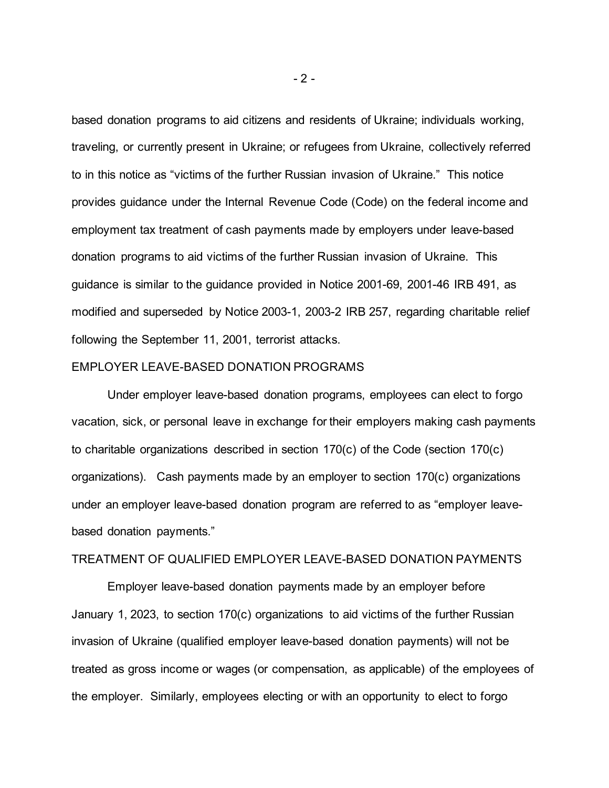based donation programs to aid citizens and residents of Ukraine; individuals working, traveling, or currently present in Ukraine; or refugees from Ukraine, collectively referred to in this notice as "victims of the further Russian invasion of Ukraine." This notice provides guidance under the Internal Revenue Code (Code) on the federal income and employment tax treatment of cash payments made by employers under leave-based donation programs to aid victims of the further Russian invasion of Ukraine. This guidance is similar to the guidance provided in Notice 2001-69, 2001-46 IRB 491, as modified and superseded by Notice 2003-1, 2003-2 IRB 257, regarding charitable relief following the September 11, 2001, terrorist attacks.

## EMPLOYER LEAVE-BASED DONATION PROGRAMS

Under employer leave-based donation programs, employees can elect to forgo vacation, sick, or personal leave in exchange for their employers making cash payments to charitable organizations described in section 170(c) of the Code (section 170(c) organizations). Cash payments made by an employer to section 170(c) organizations under an employer leave-based donation program are referred to as "employer leavebased donation payments."

## TREATMENT OF QUALIFIED EMPLOYER LEAVE-BASED DONATION PAYMENTS

Employer leave-based donation payments made by an employer before January 1, 2023, to section 170(c) organizations to aid victims of the further Russian invasion of Ukraine (qualified employer leave-based donation payments) will not be treated as gross income or wages (or compensation, as applicable) of the employees of the employer. Similarly, employees electing or with an opportunity to elect to forgo

 $-2 -$